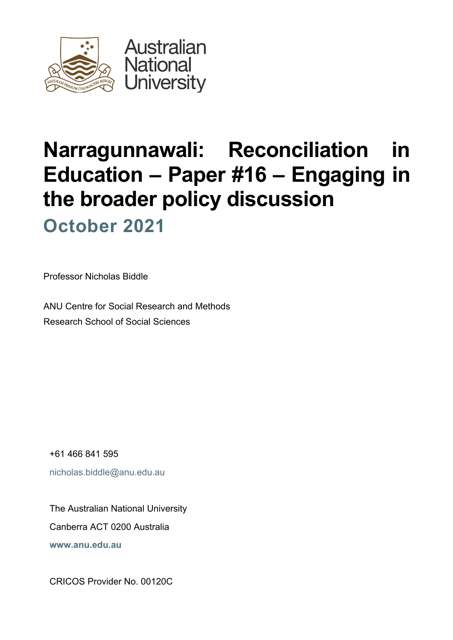

# **Narragunnawali: Reconciliation in Education** *–* **Paper #16 – Engaging in the broader policy discussion October 2021**

Professor Nicholas Biddle

ANU Centre for Social Research and Methods Research School of Social Sciences

+61 466 841 595 nicholas.biddle@anu.edu.au

The Australian National University Canberra ACT 0200 Australia **www.anu.edu.au**

CRICOS Provider No. 00120C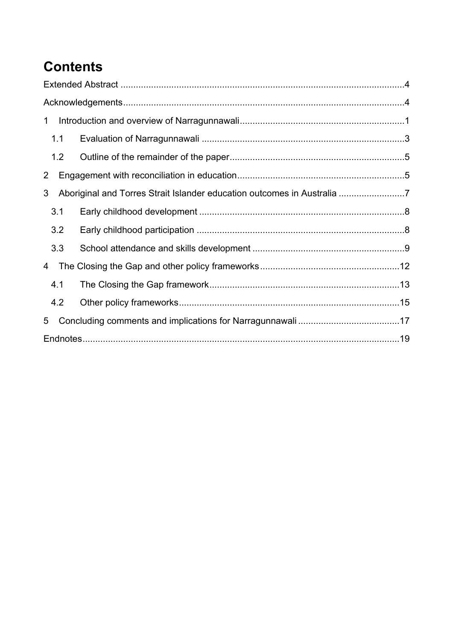# **Contents**

| Aboriginal and Torres Strait Islander education outcomes in Australia 7 |
|-------------------------------------------------------------------------|
|                                                                         |
|                                                                         |
|                                                                         |
|                                                                         |
|                                                                         |
|                                                                         |
|                                                                         |
|                                                                         |
|                                                                         |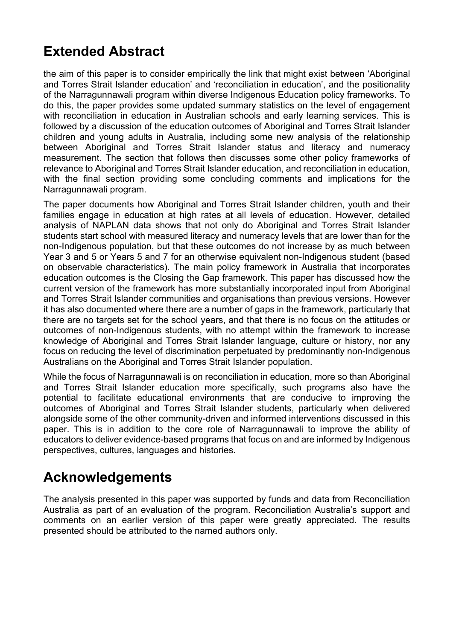# **Extended Abstract**

the aim of this paper is to consider empirically the link that might exist between 'Aboriginal and Torres Strait Islander education' and 'reconciliation in education', and the positionality of the Narragunnawali program within diverse Indigenous Education policy frameworks. To do this, the paper provides some updated summary statistics on the level of engagement with reconciliation in education in Australian schools and early learning services. This is followed by a discussion of the education outcomes of Aboriginal and Torres Strait Islander children and young adults in Australia, including some new analysis of the relationship between Aboriginal and Torres Strait Islander status and literacy and numeracy measurement. The section that follows then discusses some other policy frameworks of relevance to Aboriginal and Torres Strait Islander education, and reconciliation in education, with the final section providing some concluding comments and implications for the Narragunnawali program.

The paper documents how Aboriginal and Torres Strait Islander children, youth and their families engage in education at high rates at all levels of education. However, detailed analysis of NAPLAN data shows that not only do Aboriginal and Torres Strait Islander students start school with measured literacy and numeracy levels that are lower than for the non-Indigenous population, but that these outcomes do not increase by as much between Year 3 and 5 or Years 5 and 7 for an otherwise equivalent non-Indigenous student (based on observable characteristics). The main policy framework in Australia that incorporates education outcomes is the Closing the Gap framework. This paper has discussed how the current version of the framework has more substantially incorporated input from Aboriginal and Torres Strait Islander communities and organisations than previous versions. However it has also documented where there are a number of gaps in the framework, particularly that there are no targets set for the school years, and that there is no focus on the attitudes or outcomes of non-Indigenous students, with no attempt within the framework to increase knowledge of Aboriginal and Torres Strait Islander language, culture or history, nor any focus on reducing the level of discrimination perpetuated by predominantly non-Indigenous Australians on the Aboriginal and Torres Strait Islander population.

While the focus of Narragunnawali is on reconciliation in education, more so than Aboriginal and Torres Strait Islander education more specifically, such programs also have the potential to facilitate educational environments that are conducive to improving the outcomes of Aboriginal and Torres Strait Islander students, particularly when delivered alongside some of the other community-driven and informed interventions discussed in this paper. This is in addition to the core role of Narragunnawali to improve the ability of educators to deliver evidence-based programs that focus on and are informed by Indigenous perspectives, cultures, languages and histories.

### **Acknowledgements**

The analysis presented in this paper was supported by funds and data from Reconciliation Australia as part of an evaluation of the program. Reconciliation Australia's support and comments on an earlier version of this paper were greatly appreciated. The results presented should be attributed to the named authors only.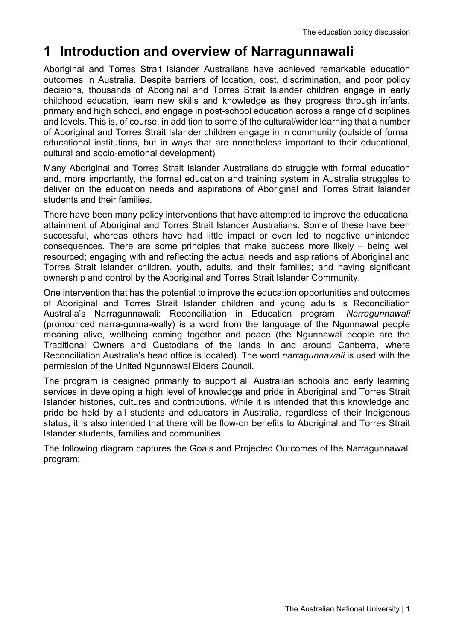# **1 Introduction and overview of Narragunnawali**

Aboriginal and Torres Strait Islander Australians have achieved remarkable education outcomes in Australia. Despite barriers of location, cost, discrimination, and poor policy decisions, thousands of Aboriginal and Torres Strait Islander children engage in early childhood education, learn new skills and knowledge as they progress through infants, primary and high school, and engage in post-school education across a range of disciplines and levels. This is, of course, in addition to some of the cultural/wider learning that a number of Aboriginal and Torres Strait Islander children engage in in community (outside of formal educational institutions, but in ways that are nonetheless important to their educational, cultural and socio-emotional development)

Many Aboriginal and Torres Strait Islander Australians do struggle with formal education and, more importantly, the formal education and training system in Australia struggles to deliver on the education needs and aspirations of Aboriginal and Torres Strait Islander students and their families.

There have been many policy interventions that have attempted to improve the educational attainment of Aboriginal and Torres Strait Islander Australians. Some of these have been successful, whereas others have had little impact or even led to negative unintended consequences. There are some principles that make success more likely – being well resourced; engaging with and reflecting the actual needs and aspirations of Aboriginal and Torres Strait Islander children, youth, adults, and their families; and having significant ownership and control by the Aboriginal and Torres Strait Islander Community.

One intervention that has the potential to improve the education opportunities and outcomes of Aboriginal and Torres Strait Islander children and young adults is Reconciliation Australia's Narragunnawali: Reconciliation in Education program. *Narragunnawali* (pronounced narra-gunna-wally) is a word from the language of the Ngunnawal people meaning alive, wellbeing coming together and peace (the Ngunnawal people are the Traditional Owners and Custodians of the lands in and around Canberra, where Reconciliation Australia's head office is located). The word *narragunnawali* is used with the permission of the United Ngunnawal Elders Council.

The program is designed primarily to support all Australian schools and early learning services in developing a high level of knowledge and pride in Aboriginal and Torres Strait Islander histories, cultures and contributions. While it is intended that this knowledge and pride be held by all students and educators in Australia, regardless of their Indigenous status, it is also intended that there will be flow-on benefits to Aboriginal and Torres Strait Islander students, families and communities.

The following diagram captures the Goals and Projected Outcomes of the Narragunnawali program: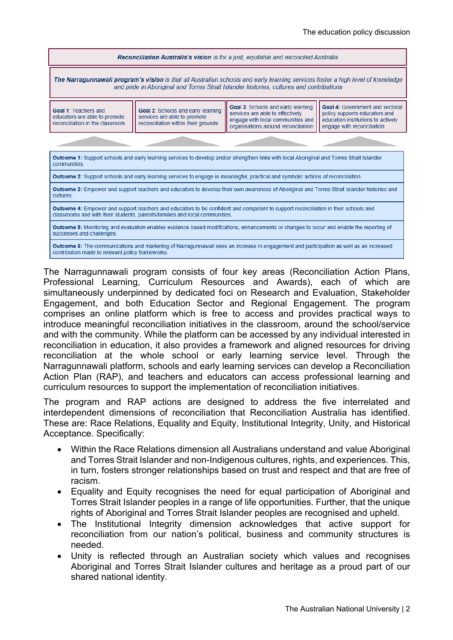| <b>Reconciliation Australia's vision</b> is for a just, equitable and reconciled Australia                                                                                                                                         |                                                                                                           |                                                                                                                                                    |                                                                                                                                             |  |
|------------------------------------------------------------------------------------------------------------------------------------------------------------------------------------------------------------------------------------|-----------------------------------------------------------------------------------------------------------|----------------------------------------------------------------------------------------------------------------------------------------------------|---------------------------------------------------------------------------------------------------------------------------------------------|--|
| <b>The Narragunnawali program's vision</b> is that all Australian schools and early learning services foster a high level of knowledge<br>and pride in Aboriginal and Torres Strait Islander histories, cultures and contributions |                                                                                                           |                                                                                                                                                    |                                                                                                                                             |  |
| <b>Goal 1: Teachers and</b><br>educators are able to promote<br>reconciliation in the classroom                                                                                                                                    | Goal 2: Schools and early learning<br>services are able to promote<br>reconciliation within their grounds | Goal 3: Schools and early learning<br>services are able to effectively<br>engage with local communities and<br>organisations around reconciliation | <b>Goal 4: Government and sectoral</b><br>policy supports educators and<br>education institutions to actively<br>engage with reconciliation |  |
|                                                                                                                                                                                                                                    |                                                                                                           |                                                                                                                                                    |                                                                                                                                             |  |
| <b>Outcome 1:</b> Support schools and early learning services to develop and/or strengthen links with local Aboriginal and Torres Strait Islander<br>communities.                                                                  |                                                                                                           |                                                                                                                                                    |                                                                                                                                             |  |
| <b>Outcome 2:</b> Support schools and early learning services to engage in meaningful, practical and symbolic actions of reconciliation.                                                                                           |                                                                                                           |                                                                                                                                                    |                                                                                                                                             |  |
| Outcome 3: Empower and support teachers and educators to develop their own awareness of Aboriginal and Torres Strait Islander histories and<br>cultures.                                                                           |                                                                                                           |                                                                                                                                                    |                                                                                                                                             |  |
| Outcome 4: Empower and support teachers and educators to be confident and competent to support reconciliation in their schools and<br>classrooms and with their students, parents/families and local communities.                  |                                                                                                           |                                                                                                                                                    |                                                                                                                                             |  |
| <b>Outcome 5:</b> Monitoring and evaluation enables evidence-based modifications, enhancements or changes to occur and enable the reporting of<br>successes and challenges.                                                        |                                                                                                           |                                                                                                                                                    |                                                                                                                                             |  |
| <b>Outcome 6:</b> The communications and marketing of Narragunnawali sees an increase in engagement and participation as well as an increased<br>contribution made to relevant policy frameworks.                                  |                                                                                                           |                                                                                                                                                    |                                                                                                                                             |  |

The Narragunnawali program consists of four key areas (Reconciliation Action Plans, Professional Learning, Curriculum Resources and Awards), each of which are simultaneously underpinned by dedicated foci on Research and Evaluation, Stakeholder Engagement, and both Education Sector and Regional Engagement. The program comprises an online platform which is free to access and provides practical ways to introduce meaningful reconciliation initiatives in the classroom, around the school/service and with the community. While the platform can be accessed by any individual interested in reconciliation in education, it also provides a framework and aligned resources for driving reconciliation at the whole school or early learning service level. Through the Narragunnawali platform, schools and early learning services can develop a Reconciliation Action Plan (RAP), and teachers and educators can access professional learning and curriculum resources to support the implementation of reconciliation initiatives.

The program and RAP actions are designed to address the five interrelated and interdependent dimensions of reconciliation that Reconciliation Australia has identified. These are: Race Relations, Equality and Equity, Institutional Integrity, Unity, and Historical Acceptance. Specifically:

- Within the Race Relations dimension all Australians understand and value Aboriginal and Torres Strait Islander and non-Indigenous cultures, rights, and experiences. This, in turn, fosters stronger relationships based on trust and respect and that are free of racism.
- Equality and Equity recognises the need for equal participation of Aboriginal and Torres Strait Islander peoples in a range of life opportunities. Further, that the unique rights of Aboriginal and Torres Strait Islander peoples are recognised and upheld.
- The Institutional Integrity dimension acknowledges that active support for reconciliation from our nation's political, business and community structures is needed.
- Unity is reflected through an Australian society which values and recognises Aboriginal and Torres Strait Islander cultures and heritage as a proud part of our shared national identity.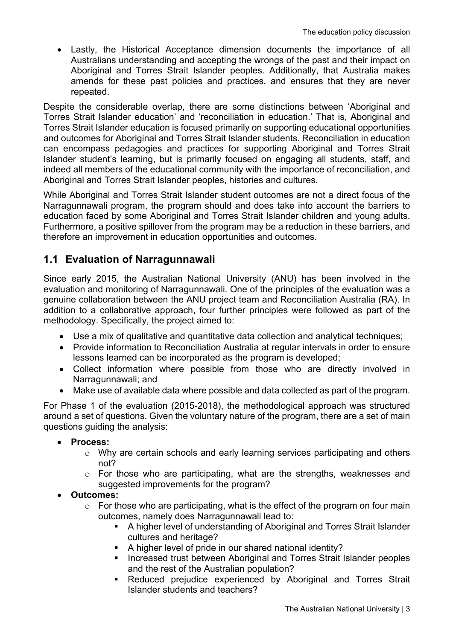• Lastly, the Historical Acceptance dimension documents the importance of all Australians understanding and accepting the wrongs of the past and their impact on Aboriginal and Torres Strait Islander peoples. Additionally, that Australia makes amends for these past policies and practices, and ensures that they are never repeated.

Despite the considerable overlap, there are some distinctions between 'Aboriginal and Torres Strait Islander education' and 'reconciliation in education.' That is, Aboriginal and Torres Strait Islander education is focused primarily on supporting educational opportunities and outcomes for Aboriginal and Torres Strait Islander students. Reconciliation in education can encompass pedagogies and practices for supporting Aboriginal and Torres Strait Islander student's learning, but is primarily focused on engaging all students, staff, and indeed all members of the educational community with the importance of reconciliation, and Aboriginal and Torres Strait Islander peoples, histories and cultures.

While Aboriginal and Torres Strait Islander student outcomes are not a direct focus of the Narragunnawali program, the program should and does take into account the barriers to education faced by some Aboriginal and Torres Strait Islander children and young adults. Furthermore, a positive spillover from the program may be a reduction in these barriers, and therefore an improvement in education opportunities and outcomes.

#### **1.1 Evaluation of Narragunnawali**

Since early 2015, the Australian National University (ANU) has been involved in the evaluation and monitoring of Narragunnawali*.* One of the principles of the evaluation was a genuine collaboration between the ANU project team and Reconciliation Australia (RA). In addition to a collaborative approach, four further principles were followed as part of the methodology. Specifically, the project aimed to:

- Use a mix of qualitative and quantitative data collection and analytical techniques;
- Provide information to Reconciliation Australia at regular intervals in order to ensure lessons learned can be incorporated as the program is developed;
- Collect information where possible from those who are directly involved in Narragunnawali; and
- Make use of available data where possible and data collected as part of the program.

For Phase 1 of the evaluation (2015-2018), the methodological approach was structured around a set of questions. Given the voluntary nature of the program, there are a set of main questions guiding the analysis:

- **Process:**
	- o Why are certain schools and early learning services participating and others not?
	- o For those who are participating, what are the strengths, weaknesses and suggested improvements for the program?
- **Outcomes:**
	- $\circ$  For those who are participating, what is the effect of the program on four main outcomes, namely does Narragunnawali lead to:
		- § A higher level of understanding of Aboriginal and Torres Strait Islander cultures and heritage?
		- § A higher level of pride in our shared national identity?
		- Increased trust between Aboriginal and Torres Strait Islander peoples and the rest of the Australian population?
		- Reduced prejudice experienced by Aboriginal and Torres Strait Islander students and teachers?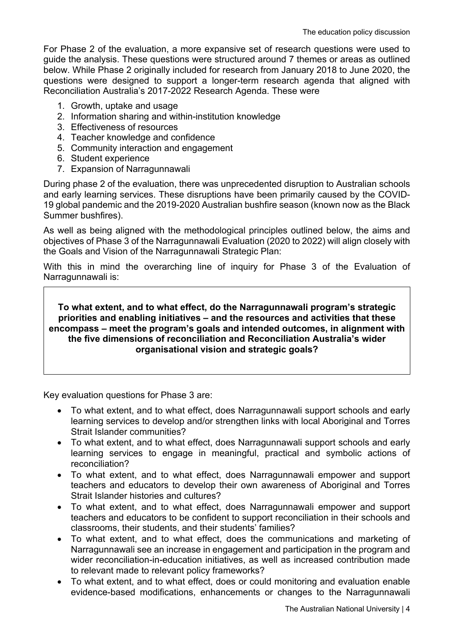For Phase 2 of the evaluation, a more expansive set of research questions were used to guide the analysis. These questions were structured around 7 themes or areas as outlined below. While Phase 2 originally included for research from January 2018 to June 2020, the questions were designed to support a longer-term research agenda that aligned with Reconciliation Australia's 2017-2022 Research Agenda. These were

- 1. Growth, uptake and usage
- 2. Information sharing and within-institution knowledge
- 3. Effectiveness of resources
- 4. Teacher knowledge and confidence
- 5. Community interaction and engagement
- 6. Student experience
- 7. Expansion of Narragunnawali

During phase 2 of the evaluation, there was unprecedented disruption to Australian schools and early learning services. These disruptions have been primarily caused by the COVID-19 global pandemic and the 2019-2020 Australian bushfire season (known now as the Black Summer bushfires).

As well as being aligned with the methodological principles outlined below, the aims and objectives of Phase 3 of the Narragunnawali Evaluation (2020 to 2022) will align closely with the Goals and Vision of the Narragunnawali Strategic Plan:

With this in mind the overarching line of inquiry for Phase 3 of the Evaluation of Narragunnawali is:

**To what extent, and to what effect, do the Narragunnawali program's strategic priorities and enabling initiatives – and the resources and activities that these encompass – meet the program's goals and intended outcomes, in alignment with the five dimensions of reconciliation and Reconciliation Australia's wider organisational vision and strategic goals?**

Key evaluation questions for Phase 3 are:

- To what extent, and to what effect, does Narragunnawali support schools and early learning services to develop and/or strengthen links with local Aboriginal and Torres Strait Islander communities?
- To what extent, and to what effect, does Narragunnawali support schools and early learning services to engage in meaningful, practical and symbolic actions of reconciliation?
- To what extent, and to what effect, does Narragunnawali empower and support teachers and educators to develop their own awareness of Aboriginal and Torres Strait Islander histories and cultures?
- To what extent, and to what effect, does Narragunnawali empower and support teachers and educators to be confident to support reconciliation in their schools and classrooms, their students, and their students' families?
- To what extent, and to what effect, does the communications and marketing of Narragunnawali see an increase in engagement and participation in the program and wider reconciliation-in-education initiatives, as well as increased contribution made to relevant made to relevant policy frameworks?
- To what extent, and to what effect, does or could monitoring and evaluation enable evidence-based modifications, enhancements or changes to the Narragunnawali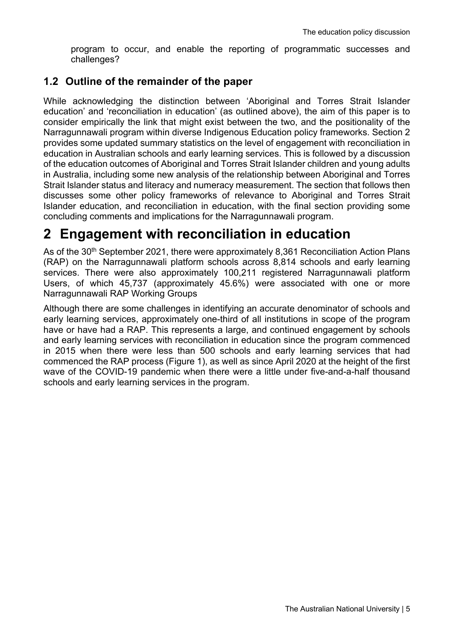program to occur, and enable the reporting of programmatic successes and challenges?

#### **1.2 Outline of the remainder of the paper**

While acknowledging the distinction between 'Aboriginal and Torres Strait Islander education' and 'reconciliation in education' (as outlined above), the aim of this paper is to consider empirically the link that might exist between the two, and the positionality of the Narragunnawali program within diverse Indigenous Education policy frameworks. Section 2 provides some updated summary statistics on the level of engagement with reconciliation in education in Australian schools and early learning services. This is followed by a discussion of the education outcomes of Aboriginal and Torres Strait Islander children and young adults in Australia, including some new analysis of the relationship between Aboriginal and Torres Strait Islander status and literacy and numeracy measurement. The section that follows then discusses some other policy frameworks of relevance to Aboriginal and Torres Strait Islander education, and reconciliation in education, with the final section providing some concluding comments and implications for the Narragunnawali program.

### **2 Engagement with reconciliation in education**

As of the 30<sup>th</sup> September 2021, there were approximately 8,361 Reconciliation Action Plans (RAP) on the Narragunnawali platform schools across 8,814 schools and early learning services. There were also approximately 100,211 registered Narragunnawali platform Users, of which 45,737 (approximately 45.6%) were associated with one or more Narragunnawali RAP Working Groups

Although there are some challenges in identifying an accurate denominator of schools and early learning services, approximately one-third of all institutions in scope of the program have or have had a RAP. This represents a large, and continued engagement by schools and early learning services with reconciliation in education since the program commenced in 2015 when there were less than 500 schools and early learning services that had commenced the RAP process (Figure 1), as well as since April 2020 at the height of the first wave of the COVID-19 pandemic when there were a little under five-and-a-half thousand schools and early learning services in the program.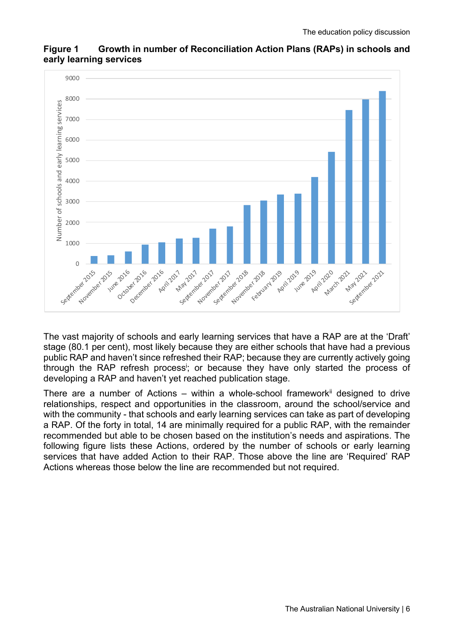

#### **Figure 1 Growth in number of Reconciliation Action Plans (RAPs) in schools and early learning services**

The vast majority of schools and early learning services that have a RAP are at the 'Draft' stage (80.1 per cent), most likely because they are either schools that have had a previous public RAP and haven't since refreshed their RAP; because they are currently actively going through the RAP refresh process<sup>i</sup>; or because they have only started the process of developing a RAP and haven't yet reached publication stage.

There are a number of Actions – within a whole-school framework<sup>ii</sup> designed to drive relationships, respect and opportunities in the classroom, around the school/service and with the community - that schools and early learning services can take as part of developing a RAP. Of the forty in total, 14 are minimally required for a public RAP, with the remainder recommended but able to be chosen based on the institution's needs and aspirations. The following figure lists these Actions, ordered by the number of schools or early learning services that have added Action to their RAP. Those above the line are 'Required' RAP Actions whereas those below the line are recommended but not required.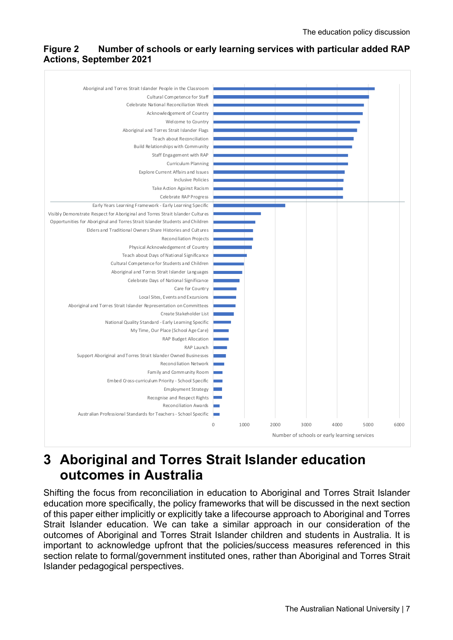#### **Figure 2 Number of schools or early learning services with particular added RAP Actions, September 2021**



### **3 Aboriginal and Torres Strait Islander education outcomes in Australia**

Shifting the focus from reconciliation in education to Aboriginal and Torres Strait Islander education more specifically, the policy frameworks that will be discussed in the next section of this paper either implicitly or explicitly take a lifecourse approach to Aboriginal and Torres Strait Islander education. We can take a similar approach in our consideration of the outcomes of Aboriginal and Torres Strait Islander children and students in Australia. It is important to acknowledge upfront that the policies/success measures referenced in this section relate to formal/government instituted ones, rather than Aboriginal and Torres Strait Islander pedagogical perspectives.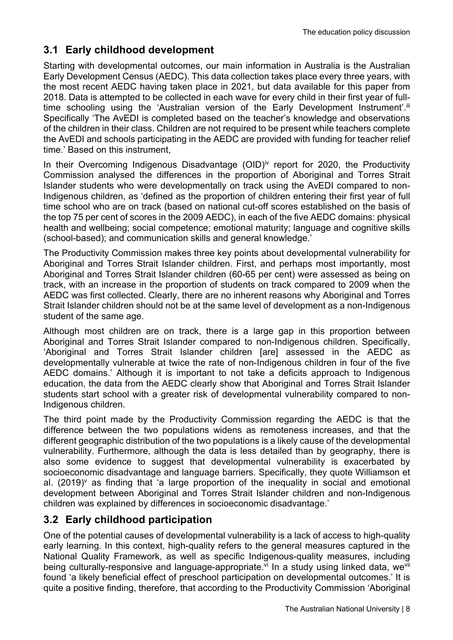### **3.1 Early childhood development**

Starting with developmental outcomes, our main information in Australia is the Australian Early Development Census (AEDC). This data collection takes place every three years, with the most recent AEDC having taken place in 2021, but data available for this paper from 2018. Data is attempted to be collected in each wave for every child in their first year of fulltime schooling using the 'Australian version of the Early Development Instrument'.<sup>iii</sup> Specifically 'The AvEDI is completed based on the teacher's knowledge and observations of the children in their class. Children are not required to be present while teachers complete the AvEDI and schools participating in the AEDC are provided with funding for teacher relief time.' Based on this instrument,

In their Overcoming Indigenous Disadvantage (OID)<sup>iv</sup> report for 2020, the Productivity Commission analysed the differences in the proportion of Aboriginal and Torres Strait Islander students who were developmentally on track using the AvEDI compared to non-Indigenous children, as 'defined as the proportion of children entering their first year of full time school who are on track (based on national cut-off scores established on the basis of the top 75 per cent of scores in the 2009 AEDC), in each of the five AEDC domains: physical health and wellbeing; social competence; emotional maturity; language and cognitive skills (school-based); and communication skills and general knowledge.'

The Productivity Commission makes three key points about developmental vulnerability for Aboriginal and Torres Strait Islander children. First, and perhaps most importantly, most Aboriginal and Torres Strait Islander children (60-65 per cent) were assessed as being on track, with an increase in the proportion of students on track compared to 2009 when the AEDC was first collected. Clearly, there are no inherent reasons why Aboriginal and Torres Strait Islander children should not be at the same level of development as a non-Indigenous student of the same age.

Although most children are on track, there is a large gap in this proportion between Aboriginal and Torres Strait Islander compared to non-Indigenous children. Specifically, 'Aboriginal and Torres Strait Islander children [are] assessed in the AEDC as developmentally vulnerable at twice the rate of non-Indigenous children in four of the five AEDC domains.' Although it is important to not take a deficits approach to Indigenous education, the data from the AEDC clearly show that Aboriginal and Torres Strait Islander students start school with a greater risk of developmental vulnerability compared to non-Indigenous children.

The third point made by the Productivity Commission regarding the AEDC is that the difference between the two populations widens as remoteness increases, and that the different geographic distribution of the two populations is a likely cause of the developmental vulnerability. Furthermore, although the data is less detailed than by geography, there is also some evidence to suggest that developmental vulnerability is exacerbated by socioeconomic disadvantage and language barriers. Specifically, they quote Williamson et al.  $(2019)$ <sup>v</sup> as finding that 'a large proportion of the inequality in social and emotional development between Aboriginal and Torres Strait Islander children and non-Indigenous children was explained by differences in socioeconomic disadvantage.'

#### **3.2 Early childhood participation**

One of the potential causes of developmental vulnerability is a lack of access to high-quality early learning. In this context, high-quality refers to the general measures captured in the National Quality Framework, as well as specific Indigenous-quality measures, including being culturally-responsive and language-appropriate.<sup>vi</sup> In a study using linked data, we<sup>vii</sup> found 'a likely beneficial effect of preschool participation on developmental outcomes.' It is quite a positive finding, therefore, that according to the Productivity Commission 'Aboriginal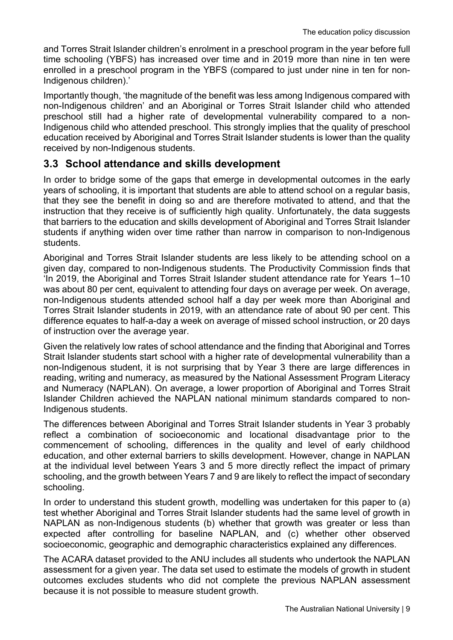and Torres Strait Islander children's enrolment in a preschool program in the year before full time schooling (YBFS) has increased over time and in 2019 more than nine in ten were enrolled in a preschool program in the YBFS (compared to just under nine in ten for non-Indigenous children).'

Importantly though, 'the magnitude of the benefit was less among Indigenous compared with non-Indigenous children' and an Aboriginal or Torres Strait Islander child who attended preschool still had a higher rate of developmental vulnerability compared to a non-Indigenous child who attended preschool. This strongly implies that the quality of preschool education received by Aboriginal and Torres Strait Islander students is lower than the quality received by non-Indigenous students.

#### **3.3 School attendance and skills development**

In order to bridge some of the gaps that emerge in developmental outcomes in the early years of schooling, it is important that students are able to attend school on a regular basis, that they see the benefit in doing so and are therefore motivated to attend, and that the instruction that they receive is of sufficiently high quality. Unfortunately, the data suggests that barriers to the education and skills development of Aboriginal and Torres Strait Islander students if anything widen over time rather than narrow in comparison to non-Indigenous students.

Aboriginal and Torres Strait Islander students are less likely to be attending school on a given day, compared to non-Indigenous students. The Productivity Commission finds that 'In 2019, the Aboriginal and Torres Strait Islander student attendance rate for Years 1–10 was about 80 per cent, equivalent to attending four days on average per week. On average, non-Indigenous students attended school half a day per week more than Aboriginal and Torres Strait Islander students in 2019, with an attendance rate of about 90 per cent. This difference equates to half-a-day a week on average of missed school instruction, or 20 days of instruction over the average year.

Given the relatively low rates of school attendance and the finding that Aboriginal and Torres Strait Islander students start school with a higher rate of developmental vulnerability than a non-Indigenous student, it is not surprising that by Year 3 there are large differences in reading, writing and numeracy, as measured by the National Assessment Program Literacy and Numeracy (NAPLAN). On average, a lower proportion of Aboriginal and Torres Strait Islander Children achieved the NAPLAN national minimum standards compared to non-Indigenous students.

The differences between Aboriginal and Torres Strait Islander students in Year 3 probably reflect a combination of socioeconomic and locational disadvantage prior to the commencement of schooling, differences in the quality and level of early childhood education, and other external barriers to skills development. However, change in NAPLAN at the individual level between Years 3 and 5 more directly reflect the impact of primary schooling, and the growth between Years 7 and 9 are likely to reflect the impact of secondary schooling.

In order to understand this student growth, modelling was undertaken for this paper to (a) test whether Aboriginal and Torres Strait Islander students had the same level of growth in NAPLAN as non-Indigenous students (b) whether that growth was greater or less than expected after controlling for baseline NAPLAN, and (c) whether other observed socioeconomic, geographic and demographic characteristics explained any differences.

The ACARA dataset provided to the ANU includes all students who undertook the NAPLAN assessment for a given year. The data set used to estimate the models of growth in student outcomes excludes students who did not complete the previous NAPLAN assessment because it is not possible to measure student growth.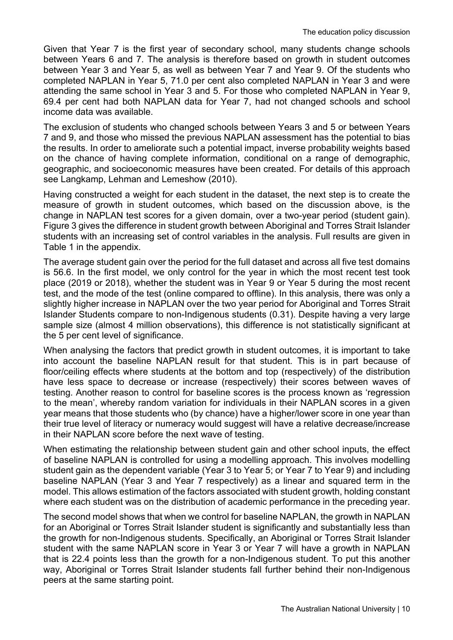Given that Year 7 is the first year of secondary school, many students change schools between Years 6 and 7. The analysis is therefore based on growth in student outcomes between Year 3 and Year 5, as well as between Year 7 and Year 9. Of the students who completed NAPLAN in Year 5, 71.0 per cent also completed NAPLAN in Year 3 and were attending the same school in Year 3 and 5. For those who completed NAPLAN in Year 9, 69.4 per cent had both NAPLAN data for Year 7, had not changed schools and school income data was available.

The exclusion of students who changed schools between Years 3 and 5 or between Years 7 and 9, and those who missed the previous NAPLAN assessment has the potential to bias the results. In order to ameliorate such a potential impact, inverse probability weights based on the chance of having complete information, conditional on a range of demographic, geographic, and socioeconomic measures have been created. For details of this approach see Langkamp, Lehman and Lemeshow (2010).

Having constructed a weight for each student in the dataset, the next step is to create the measure of growth in student outcomes, which based on the discussion above, is the change in NAPLAN test scores for a given domain, over a two-year period (student gain). Figure 3 gives the difference in student growth between Aboriginal and Torres Strait Islander students with an increasing set of control variables in the analysis. Full results are given in Table 1 in the appendix.

The average student gain over the period for the full dataset and across all five test domains is 56.6. In the first model, we only control for the year in which the most recent test took place (2019 or 2018), whether the student was in Year 9 or Year 5 during the most recent test, and the mode of the test (online compared to offline). In this analysis, there was only a slightly higher increase in NAPLAN over the two year period for Aboriginal and Torres Strait Islander Students compare to non-Indigenous students (0.31). Despite having a very large sample size (almost 4 million observations), this difference is not statistically significant at the 5 per cent level of significance.

When analysing the factors that predict growth in student outcomes, it is important to take into account the baseline NAPLAN result for that student. This is in part because of floor/ceiling effects where students at the bottom and top (respectively) of the distribution have less space to decrease or increase (respectively) their scores between waves of testing. Another reason to control for baseline scores is the process known as 'regression to the mean', whereby random variation for individuals in their NAPLAN scores in a given year means that those students who (by chance) have a higher/lower score in one year than their true level of literacy or numeracy would suggest will have a relative decrease/increase in their NAPLAN score before the next wave of testing.

When estimating the relationship between student gain and other school inputs, the effect of baseline NAPLAN is controlled for using a modelling approach. This involves modelling student gain as the dependent variable (Year 3 to Year 5; or Year 7 to Year 9) and including baseline NAPLAN (Year 3 and Year 7 respectively) as a linear and squared term in the model. This allows estimation of the factors associated with student growth, holding constant where each student was on the distribution of academic performance in the preceding year.

The second model shows that when we control for baseline NAPLAN, the growth in NAPLAN for an Aboriginal or Torres Strait Islander student is significantly and substantially less than the growth for non-Indigenous students. Specifically, an Aboriginal or Torres Strait Islander student with the same NAPLAN score in Year 3 or Year 7 will have a growth in NAPLAN that is 22.4 points less than the growth for a non-Indigenous student. To put this another way, Aboriginal or Torres Strait Islander students fall further behind their non-Indigenous peers at the same starting point.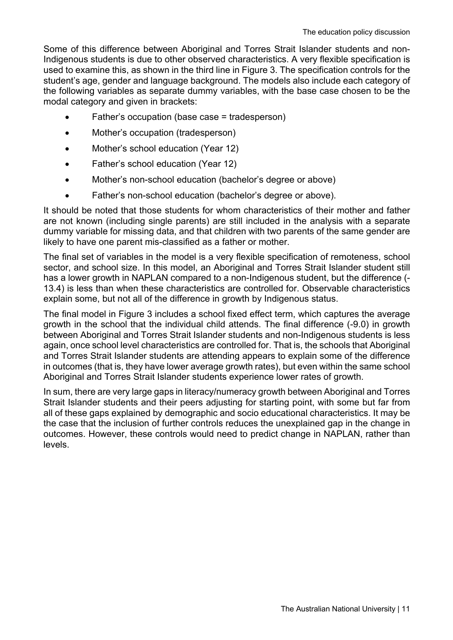Some of this difference between Aboriginal and Torres Strait Islander students and non-Indigenous students is due to other observed characteristics. A very flexible specification is used to examine this, as shown in the third line in Figure 3. The specification controls for the student's age, gender and language background. The models also include each category of the following variables as separate dummy variables, with the base case chosen to be the modal category and given in brackets:

- Father's occupation (base case = tradesperson)
- Mother's occupation (tradesperson)
- Mother's school education (Year 12)
- Father's school education (Year 12)
- Mother's non-school education (bachelor's degree or above)
- Father's non-school education (bachelor's degree or above).

It should be noted that those students for whom characteristics of their mother and father are not known (including single parents) are still included in the analysis with a separate dummy variable for missing data, and that children with two parents of the same gender are likely to have one parent mis-classified as a father or mother.

The final set of variables in the model is a very flexible specification of remoteness, school sector, and school size. In this model, an Aboriginal and Torres Strait Islander student still has a lower growth in NAPLAN compared to a non-Indigenous student, but the difference (-13.4) is less than when these characteristics are controlled for. Observable characteristics explain some, but not all of the difference in growth by Indigenous status.

The final model in Figure 3 includes a school fixed effect term, which captures the average growth in the school that the individual child attends. The final difference (-9.0) in growth between Aboriginal and Torres Strait Islander students and non-Indigenous students is less again, once school level characteristics are controlled for. That is, the schools that Aboriginal and Torres Strait Islander students are attending appears to explain some of the difference in outcomes (that is, they have lower average growth rates), but even within the same school Aboriginal and Torres Strait Islander students experience lower rates of growth.

In sum, there are very large gaps in literacy/numeracy growth between Aboriginal and Torres Strait Islander students and their peers adjusting for starting point, with some but far from all of these gaps explained by demographic and socio educational characteristics. It may be the case that the inclusion of further controls reduces the unexplained gap in the change in outcomes. However, these controls would need to predict change in NAPLAN, rather than levels.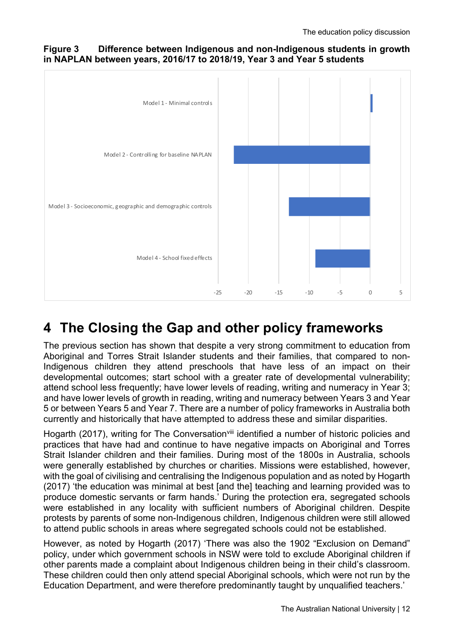#### **Figure 3 Difference between Indigenous and non-Indigenous students in growth in NAPLAN between years, 2016/17 to 2018/19, Year 3 and Year 5 students**



# **4 The Closing the Gap and other policy frameworks**

The previous section has shown that despite a very strong commitment to education from Aboriginal and Torres Strait Islander students and their families, that compared to non-Indigenous children they attend preschools that have less of an impact on their developmental outcomes; start school with a greater rate of developmental vulnerability; attend school less frequently; have lower levels of reading, writing and numeracy in Year 3; and have lower levels of growth in reading, writing and numeracy between Years 3 and Year 5 or between Years 5 and Year 7. There are a number of policy frameworks in Australia both currently and historically that have attempted to address these and similar disparities.

Hogarth (2017), writing for The Conversation<sup>viii</sup> identified a number of historic policies and practices that have had and continue to have negative impacts on Aboriginal and Torres Strait Islander children and their families. During most of the 1800s in Australia, schools were generally established by churches or charities. Missions were established, however, with the goal of civilising and centralising the Indigenous population and as noted by Hogarth (2017) 'the education was minimal at best [and the] teaching and learning provided was to produce domestic servants or farm hands.' During the protection era, segregated schools were established in any locality with sufficient numbers of Aboriginal children. Despite protests by parents of some non-Indigenous children, Indigenous children were still allowed to attend public schools in areas where segregated schools could not be established.

However, as noted by Hogarth (2017) 'There was also the 1902 "Exclusion on Demand" policy, under which government schools in NSW were told to exclude Aboriginal children if other parents made a complaint about Indigenous children being in their child's classroom. These children could then only attend special Aboriginal schools, which were not run by the Education Department, and were therefore predominantly taught by unqualified teachers.'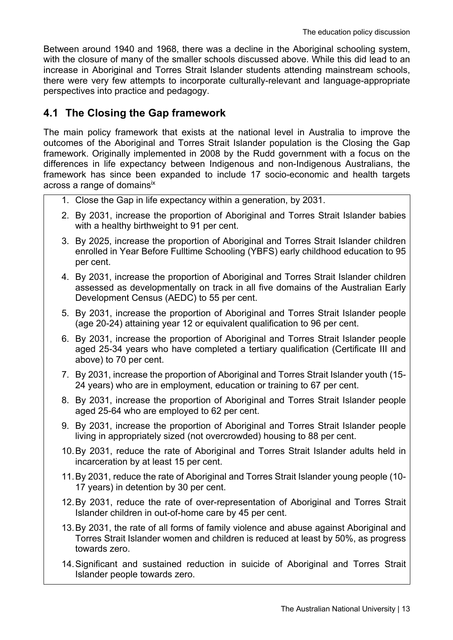Between around 1940 and 1968, there was a decline in the Aboriginal schooling system, with the closure of many of the smaller schools discussed above. While this did lead to an increase in Aboriginal and Torres Strait Islander students attending mainstream schools, there were very few attempts to incorporate culturally-relevant and language-appropriate perspectives into practice and pedagogy.

#### **4.1 The Closing the Gap framework**

The main policy framework that exists at the national level in Australia to improve the outcomes of the Aboriginal and Torres Strait Islander population is the Closing the Gap framework. Originally implemented in 2008 by the Rudd government with a focus on the differences in life expectancy between Indigenous and non-Indigenous Australians, the framework has since been expanded to include 17 socio-economic and health targets across a range of domains<sup>ix</sup>

- 1. Close the Gap in life expectancy within a generation, by 2031.
- 2. By 2031, increase the proportion of Aboriginal and Torres Strait Islander babies with a healthy birthweight to 91 per cent.
- 3. By 2025, increase the proportion of Aboriginal and Torres Strait Islander children enrolled in Year Before Fulltime Schooling (YBFS) early childhood education to 95 per cent.
- 4. By 2031, increase the proportion of Aboriginal and Torres Strait Islander children assessed as developmentally on track in all five domains of the Australian Early Development Census (AEDC) to 55 per cent.
- 5. By 2031, increase the proportion of Aboriginal and Torres Strait Islander people (age 20-24) attaining year 12 or equivalent qualification to 96 per cent.
- 6. By 2031, increase the proportion of Aboriginal and Torres Strait Islander people aged 25-34 years who have completed a tertiary qualification (Certificate III and above) to 70 per cent.
- 7. By 2031, increase the proportion of Aboriginal and Torres Strait Islander youth (15- 24 years) who are in employment, education or training to 67 per cent.
- 8. By 2031, increase the proportion of Aboriginal and Torres Strait Islander people aged 25-64 who are employed to 62 per cent.
- 9. By 2031, increase the proportion of Aboriginal and Torres Strait Islander people living in appropriately sized (not overcrowded) housing to 88 per cent.
- 10.By 2031, reduce the rate of Aboriginal and Torres Strait Islander adults held in incarceration by at least 15 per cent.
- 11.By 2031, reduce the rate of Aboriginal and Torres Strait Islander young people (10- 17 years) in detention by 30 per cent.
- 12.By 2031, reduce the rate of over-representation of Aboriginal and Torres Strait Islander children in out-of-home care by 45 per cent.
- 13.By 2031, the rate of all forms of family violence and abuse against Aboriginal and Torres Strait Islander women and children is reduced at least by 50%, as progress towards zero.
- 14.Significant and sustained reduction in suicide of Aboriginal and Torres Strait Islander people towards zero.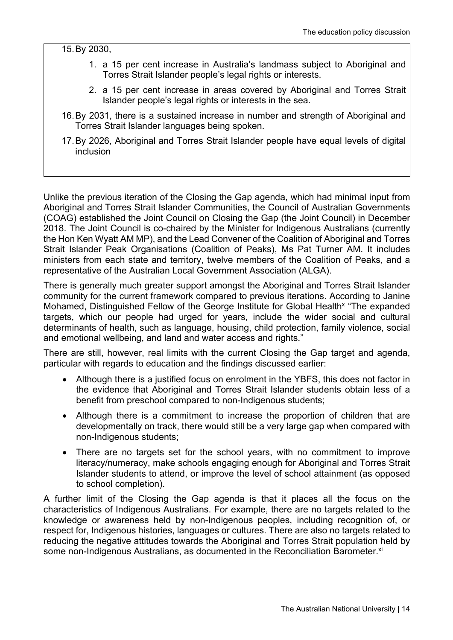15.By 2030,

- 1. a 15 per cent increase in Australia's landmass subject to Aboriginal and Torres Strait Islander people's legal rights or interests.
- 2. a 15 per cent increase in areas covered by Aboriginal and Torres Strait Islander people's legal rights or interests in the sea.
- 16.By 2031, there is a sustained increase in number and strength of Aboriginal and Torres Strait Islander languages being spoken.
- 17.By 2026, Aboriginal and Torres Strait Islander people have equal levels of digital inclusion

Unlike the previous iteration of the Closing the Gap agenda, which had minimal input from Aboriginal and Torres Strait Islander Communities, the Council of Australian Governments (COAG) established the Joint Council on Closing the Gap (the Joint Council) in December 2018. The Joint Council is co-chaired by the Minister for Indigenous Australians (currently the Hon Ken Wyatt AM MP), and the Lead Convener of the Coalition of Aboriginal and Torres Strait Islander Peak Organisations (Coalition of Peaks), Ms Pat Turner AM. It includes ministers from each state and territory, twelve members of the Coalition of Peaks, and a representative of the Australian Local Government Association (ALGA).

There is generally much greater support amongst the Aboriginal and Torres Strait Islander community for the current framework compared to previous iterations. According to Janine Mohamed, Distinguished Fellow of the George Institute for Global Health<sup>x</sup> "The expanded targets, which our people had urged for years, include the wider social and cultural determinants of health, such as language, housing, child protection, family violence, social and emotional wellbeing, and land and water access and rights."

There are still, however, real limits with the current Closing the Gap target and agenda, particular with regards to education and the findings discussed earlier:

- Although there is a justified focus on enrolment in the YBFS, this does not factor in the evidence that Aboriginal and Torres Strait Islander students obtain less of a benefit from preschool compared to non-Indigenous students;
- Although there is a commitment to increase the proportion of children that are developmentally on track, there would still be a very large gap when compared with non-Indigenous students;
- There are no targets set for the school years, with no commitment to improve literacy/numeracy, make schools engaging enough for Aboriginal and Torres Strait Islander students to attend, or improve the level of school attainment (as opposed to school completion).

A further limit of the Closing the Gap agenda is that it places all the focus on the characteristics of Indigenous Australians. For example, there are no targets related to the knowledge or awareness held by non-Indigenous peoples, including recognition of, or respect for, Indigenous histories, languages or cultures. There are also no targets related to reducing the negative attitudes towards the Aboriginal and Torres Strait population held by some non-Indigenous Australians, as documented in the Reconciliation Barometer.<sup>xi</sup>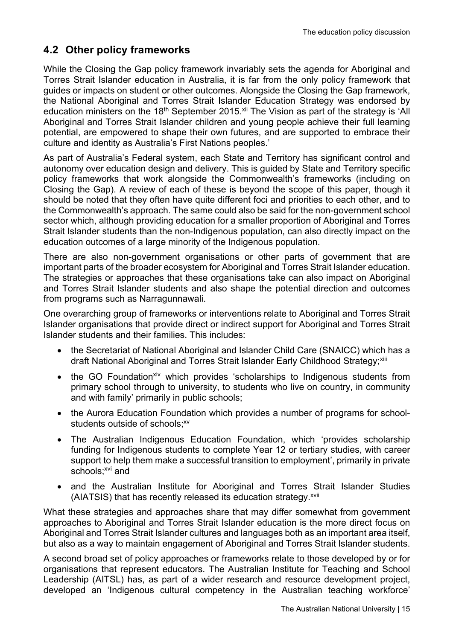### **4.2 Other policy frameworks**

While the Closing the Gap policy framework invariably sets the agenda for Aboriginal and Torres Strait Islander education in Australia, it is far from the only policy framework that guides or impacts on student or other outcomes. Alongside the Closing the Gap framework, the National Aboriginal and Torres Strait Islander Education Strategy was endorsed by education ministers on the 18<sup>th</sup> September 2015.<sup>xii</sup> The Vision as part of the strategy is 'All Aboriginal and Torres Strait Islander children and young people achieve their full learning potential, are empowered to shape their own futures, and are supported to embrace their culture and identity as Australia's First Nations peoples.'

As part of Australia's Federal system, each State and Territory has significant control and autonomy over education design and delivery. This is guided by State and Territory specific policy frameworks that work alongside the Commonwealth's frameworks (including on Closing the Gap). A review of each of these is beyond the scope of this paper, though it should be noted that they often have quite different foci and priorities to each other, and to the Commonwealth's approach. The same could also be said for the non-government school sector which, although providing education for a smaller proportion of Aboriginal and Torres Strait Islander students than the non-Indigenous population, can also directly impact on the education outcomes of a large minority of the Indigenous population.

There are also non-government organisations or other parts of government that are important parts of the broader ecosystem for Aboriginal and Torres Strait Islander education. The strategies or approaches that these organisations take can also impact on Aboriginal and Torres Strait Islander students and also shape the potential direction and outcomes from programs such as Narragunnawali.

One overarching group of frameworks or interventions relate to Aboriginal and Torres Strait Islander organisations that provide direct or indirect support for Aboriginal and Torres Strait Islander students and their families. This includes:

- the Secretariat of National Aboriginal and Islander Child Care (SNAICC) which has a draft National Aboriginal and Torres Strait Islander Early Childhood Strategy;<sup>xiii</sup>
- the GO Foundation<sup>xiv</sup> which provides 'scholarships to Indigenous students from primary school through to university, to students who live on country, in community and with family' primarily in public schools;
- the Aurora Education Foundation which provides a number of programs for schoolstudents outside of schools: xv
- The Australian Indigenous Education Foundation, which 'provides scholarship funding for Indigenous students to complete Year 12 or tertiary studies, with career support to help them make a successful transition to employment', primarily in private schools;<sup>xvi</sup> and
- and the Australian Institute for Aboriginal and Torres Strait Islander Studies (AIATSIS) that has recently released its education strategy.<sup>xvii</sup>

What these strategies and approaches share that may differ somewhat from government approaches to Aboriginal and Torres Strait Islander education is the more direct focus on Aboriginal and Torres Strait Islander cultures and languages both as an important area itself, but also as a way to maintain engagement of Aboriginal and Torres Strait Islander students.

A second broad set of policy approaches or frameworks relate to those developed by or for organisations that represent educators. The Australian Institute for Teaching and School Leadership (AITSL) has, as part of a wider research and resource development project, developed an 'Indigenous cultural competency in the Australian teaching workforce'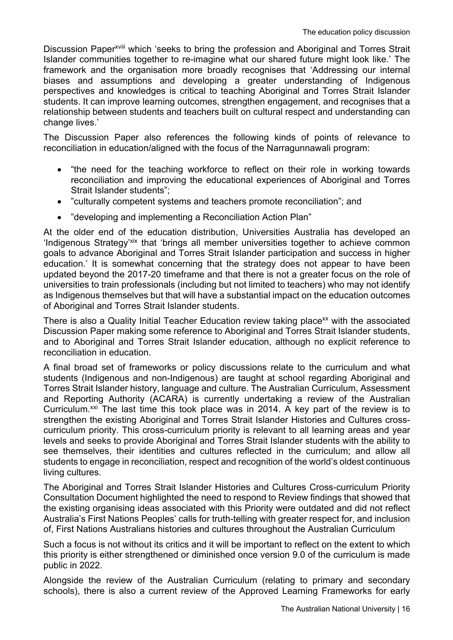Discussion Paper<sup>xviii</sup> which 'seeks to bring the profession and Aboriginal and Torres Strait Islander communities together to re-imagine what our shared future might look like.' The framework and the organisation more broadly recognises that 'Addressing our internal biases and assumptions and developing a greater understanding of Indigenous perspectives and knowledges is critical to teaching Aboriginal and Torres Strait Islander students. It can improve learning outcomes, strengthen engagement, and recognises that a relationship between students and teachers built on cultural respect and understanding can change lives.'

The Discussion Paper also references the following kinds of points of relevance to reconciliation in education/aligned with the focus of the Narragunnawali program:

- "the need for the teaching workforce to reflect on their role in working towards reconciliation and improving the educational experiences of Aboriginal and Torres Strait Islander students";
- "culturally competent systems and teachers promote reconciliation"; and
- "developing and implementing a Reconciliation Action Plan"

At the older end of the education distribution, Universities Australia has developed an 'Indigenous Strategy'xix that 'brings all member universities together to achieve common goals to advance Aboriginal and Torres Strait Islander participation and success in higher education.' It is somewhat concerning that the strategy does not appear to have been updated beyond the 2017-20 timeframe and that there is not a greater focus on the role of universities to train professionals (including but not limited to teachers) who may not identify as Indigenous themselves but that will have a substantial impact on the education outcomes of Aboriginal and Torres Strait Islander students.

There is also a Quality Initial Teacher Education review taking place<sup>xx</sup> with the associated Discussion Paper making some reference to Aboriginal and Torres Strait Islander students, and to Aboriginal and Torres Strait Islander education, although no explicit reference to reconciliation in education.

A final broad set of frameworks or policy discussions relate to the curriculum and what students (Indigenous and non-Indigenous) are taught at school regarding Aboriginal and Torres Strait Islander history, language and culture. The Australian Curriculum, Assessment and Reporting Authority (ACARA) is currently undertaking a review of the Australian Curriculum.<sup>xxi</sup> The last time this took place was in 2014. A key part of the review is to strengthen the existing Aboriginal and Torres Strait Islander Histories and Cultures crosscurriculum priority. This cross-curriculum priority is relevant to all learning areas and year levels and seeks to provide Aboriginal and Torres Strait Islander students with the ability to see themselves, their identities and cultures reflected in the curriculum; and allow all students to engage in reconciliation, respect and recognition of the world's oldest continuous living cultures.

The Aboriginal and Torres Strait Islander Histories and Cultures Cross-curriculum Priority Consultation Document highlighted the need to respond to Review findings that showed that the existing organising ideas associated with this Priority were outdated and did not reflect Australia's First Nations Peoples' calls for truth-telling with greater respect for, and inclusion of, First Nations Australians histories and cultures throughout the Australian Curriculum

Such a focus is not without its critics and it will be important to reflect on the extent to which this priority is either strengthened or diminished once version 9.0 of the curriculum is made public in 2022.

Alongside the review of the Australian Curriculum (relating to primary and secondary schools), there is also a current review of the Approved Learning Frameworks for early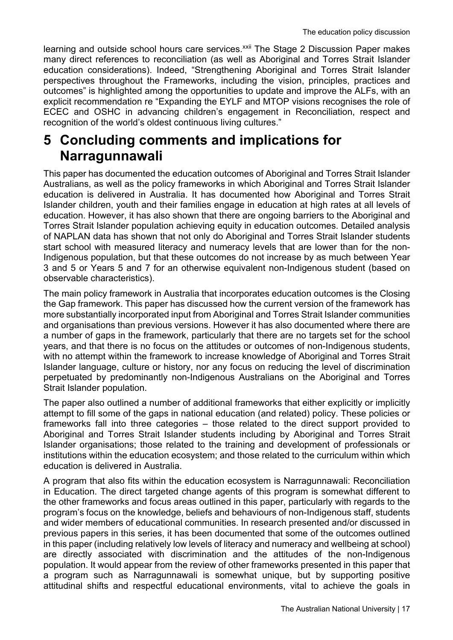learning and outside school hours care services.<sup>xxii</sup> The Stage 2 Discussion Paper makes many direct references to reconciliation (as well as Aboriginal and Torres Strait Islander education considerations). Indeed, "Strengthening Aboriginal and Torres Strait Islander perspectives throughout the Frameworks, including the vision, principles, practices and outcomes" is highlighted among the opportunities to update and improve the ALFs, with an explicit recommendation re "Expanding the EYLF and MTOP visions recognises the role of ECEC and OSHC in advancing children's engagement in Reconciliation, respect and recognition of the world's oldest continuous living cultures."

### **5 Concluding comments and implications for Narragunnawali**

This paper has documented the education outcomes of Aboriginal and Torres Strait Islander Australians, as well as the policy frameworks in which Aboriginal and Torres Strait Islander education is delivered in Australia. It has documented how Aboriginal and Torres Strait Islander children, youth and their families engage in education at high rates at all levels of education. However, it has also shown that there are ongoing barriers to the Aboriginal and Torres Strait Islander population achieving equity in education outcomes. Detailed analysis of NAPLAN data has shown that not only do Aboriginal and Torres Strait Islander students start school with measured literacy and numeracy levels that are lower than for the non-Indigenous population, but that these outcomes do not increase by as much between Year 3 and 5 or Years 5 and 7 for an otherwise equivalent non-Indigenous student (based on observable characteristics).

The main policy framework in Australia that incorporates education outcomes is the Closing the Gap framework. This paper has discussed how the current version of the framework has more substantially incorporated input from Aboriginal and Torres Strait Islander communities and organisations than previous versions. However it has also documented where there are a number of gaps in the framework, particularly that there are no targets set for the school years, and that there is no focus on the attitudes or outcomes of non-Indigenous students, with no attempt within the framework to increase knowledge of Aboriginal and Torres Strait Islander language, culture or history, nor any focus on reducing the level of discrimination perpetuated by predominantly non-Indigenous Australians on the Aboriginal and Torres Strait Islander population.

The paper also outlined a number of additional frameworks that either explicitly or implicitly attempt to fill some of the gaps in national education (and related) policy. These policies or frameworks fall into three categories – those related to the direct support provided to Aboriginal and Torres Strait Islander students including by Aboriginal and Torres Strait Islander organisations; those related to the training and development of professionals or institutions within the education ecosystem; and those related to the curriculum within which education is delivered in Australia.

A program that also fits within the education ecosystem is Narragunnawali: Reconciliation in Education. The direct targeted change agents of this program is somewhat different to the other frameworks and focus areas outlined in this paper, particularly with regards to the program's focus on the knowledge, beliefs and behaviours of non-Indigenous staff, students and wider members of educational communities. In research presented and/or discussed in previous papers in this series, it has been documented that some of the outcomes outlined in this paper (including relatively low levels of literacy and numeracy and wellbeing at school) are directly associated with discrimination and the attitudes of the non-Indigenous population. It would appear from the review of other frameworks presented in this paper that a program such as Narragunnawali is somewhat unique, but by supporting positive attitudinal shifts and respectful educational environments, vital to achieve the goals in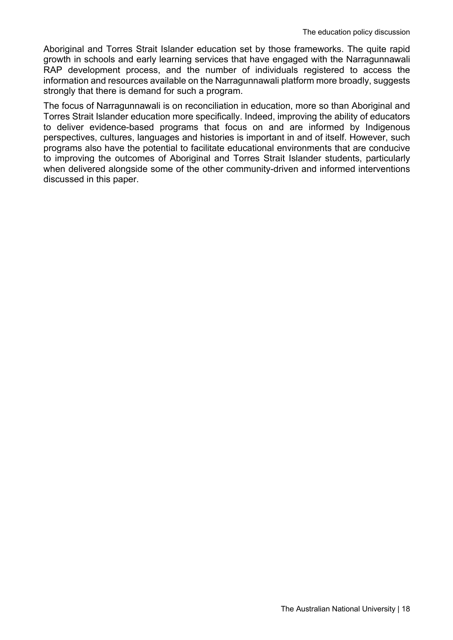Aboriginal and Torres Strait Islander education set by those frameworks. The quite rapid growth in schools and early learning services that have engaged with the Narragunnawali RAP development process, and the number of individuals registered to access the information and resources available on the Narragunnawali platform more broadly, suggests strongly that there is demand for such a program.

The focus of Narragunnawali is on reconciliation in education, more so than Aboriginal and Torres Strait Islander education more specifically. Indeed, improving the ability of educators to deliver evidence-based programs that focus on and are informed by Indigenous perspectives, cultures, languages and histories is important in and of itself. However, such programs also have the potential to facilitate educational environments that are conducive to improving the outcomes of Aboriginal and Torres Strait Islander students, particularly when delivered alongside some of the other community-driven and informed interventions discussed in this paper.